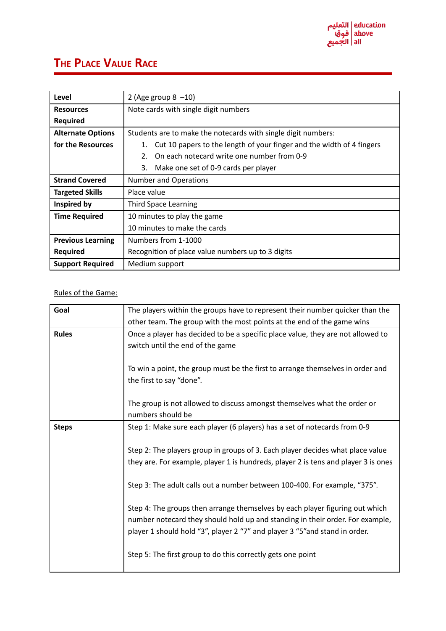

## **THE PLACE VALUE RACE**

| Level                    | 2 (Age group $8 -10$ )                                                      |
|--------------------------|-----------------------------------------------------------------------------|
| <b>Resources</b>         | Note cards with single digit numbers                                        |
| <b>Required</b>          |                                                                             |
| <b>Alternate Options</b> | Students are to make the notecards with single digit numbers:               |
| for the Resources        | Cut 10 papers to the length of your finger and the width of 4 fingers<br>1. |
|                          | On each notecard write one number from 0-9<br>2.                            |
|                          | 3.<br>Make one set of 0-9 cards per player                                  |
| <b>Strand Covered</b>    | <b>Number and Operations</b>                                                |
| <b>Targeted Skills</b>   | Place value                                                                 |
| Inspired by              | <b>Third Space Learning</b>                                                 |
| <b>Time Required</b>     | 10 minutes to play the game                                                 |
|                          | 10 minutes to make the cards                                                |
| <b>Previous Learning</b> | Numbers from 1-1000                                                         |
| <b>Required</b>          | Recognition of place value numbers up to 3 digits                           |
| <b>Support Required</b>  | Medium support                                                              |

## Rules of the Game:

| Goal         | The players within the groups have to represent their number quicker than the      |
|--------------|------------------------------------------------------------------------------------|
|              | other team. The group with the most points at the end of the game wins             |
| <b>Rules</b> | Once a player has decided to be a specific place value, they are not allowed to    |
|              | switch until the end of the game                                                   |
|              |                                                                                    |
|              | To win a point, the group must be the first to arrange themselves in order and     |
|              | the first to say "done".                                                           |
|              |                                                                                    |
|              | The group is not allowed to discuss amongst themselves what the order or           |
|              | numbers should be                                                                  |
|              |                                                                                    |
| <b>Steps</b> | Step 1: Make sure each player (6 players) has a set of notecards from 0-9          |
|              |                                                                                    |
|              | Step 2: The players group in groups of 3. Each player decides what place value     |
|              | they are. For example, player 1 is hundreds, player 2 is tens and player 3 is ones |
|              |                                                                                    |
|              | Step 3: The adult calls out a number between 100-400. For example, "375".          |
|              |                                                                                    |
|              | Step 4: The groups then arrange themselves by each player figuring out which       |
|              | number notecard they should hold up and standing in their order. For example,      |
|              | player 1 should hold "3", player 2 "7" and player 3 "5" and stand in order.        |
|              |                                                                                    |
|              |                                                                                    |
|              | Step 5: The first group to do this correctly gets one point                        |
|              |                                                                                    |